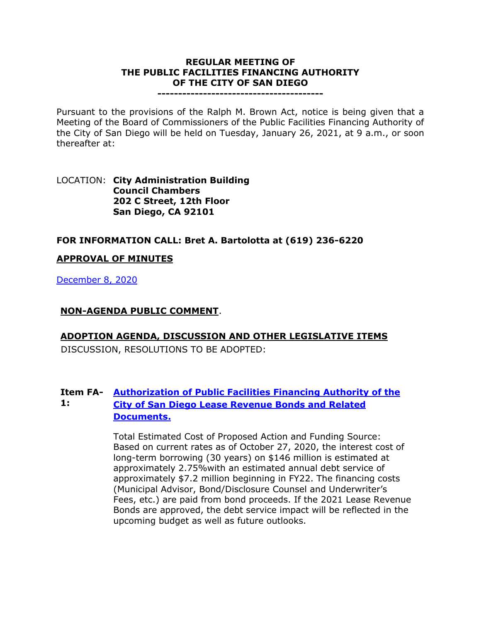#### **REGULAR MEETING OF THE PUBLIC FACILITIES FINANCING AUTHORITY OF THE CITY OF SAN DIEGO**

**----------------------------------------**

Pursuant to the provisions of the Ralph M. Brown Act, notice is being given that a Meeting of the Board of Commissioners of the Public Facilities Financing Authority of the City of San Diego will be held on Tuesday, January 26, 2021, at 9 a.m., or soon thereafter at:

#### LOCATION: **City Administration Building Council Chambers 202 C Street, 12th Floor San Diego, CA 92101**

## **FOR INFORMATION CALL: Bret A. Bartolotta at (619) 236-6220**

## **APPROVAL OF MINUTES**

[December 8, 2020](https://www.sandiego.gov/sites/default/files/1208pffa.docx)

#### **NON-AGENDA PUBLIC COMMENT**.

#### **ADOPTION AGENDA, DISCUSSION AND OTHER LEGISLATIVE ITEMS**

DISCUSSION, RESOLUTIONS TO BE ADOPTED:

#### **Item FA-[Authorization of Public Facilities Financing Authority of the](https://www.sandiego.gov/sites/default/files/combined_files_for_1-26-21_fa-2021-21.pdf)  1: [City of San Diego Lease Revenue Bonds and Related](https://www.sandiego.gov/sites/default/files/combined_files_for_1-26-21_fa-2021-21.pdf)  [Documents.](https://www.sandiego.gov/sites/default/files/combined_files_for_1-26-21_fa-2021-21.pdf)**

Total Estimated Cost of Proposed Action and Funding Source: Based on current rates as of October 27, 2020, the interest cost of long-term borrowing (30 years) on \$146 million is estimated at approximately 2.75%with an estimated annual debt service of approximately \$7.2 million beginning in FY22. The financing costs (Municipal Advisor, Bond/Disclosure Counsel and Underwriter's Fees, etc.) are paid from bond proceeds. If the 2021 Lease Revenue Bonds are approved, the debt service impact will be reflected in the upcoming budget as well as future outlooks.